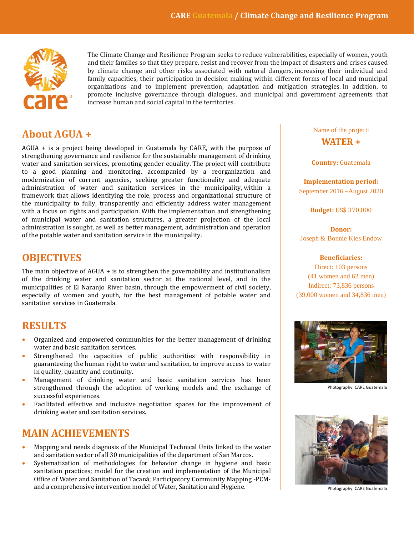

and their families so that they prepare, resist and recover from the impact of disasters and crises caused<br>by climate change and other risks associated with natural dangers, increasing their individual and **IV** family capacities, their participation in decision making within different forms of local and municipal corresponding to implement prevention adaptation and mitigation strategies In addition to promote inclusive governance through dialogues, and municipal and government agreements that **i** increase human and social capital in the territories.The Climate Change and Resilience Program seeks to reduce vulnerabilities, especially of women, youth and their families so that they prepare, resist and recover from the impact of disasters and crises caused organizations and to implement prevention, adaptation and mitigation strategies. In addition, to

# **About AGUA +**

AGUA + is a project being developed in Guatemala by CARE, with the purpose of strengthening governance and resilience for the sustainable management of drinking water and sanitation services, promoting gender equality. The project will contribute to a good planning and monitoring, accompanied by a reorganization and modernization of current agencies, seeking greater functionality and adequate administration of water and sanitation services in the municipality, within a framework that allows identifying the role, process and organizational structure of the municipality to fully, transparently and efficiently address water management with a focus on rights and participation. With the implementation and strengthening of municipal water and sanitation structures, a greater projection of the local administration is sought, as well as better management, administration and operation of the potable water and sanitation service in the municipality.

# **OBJECTIVES**

The main objective of AGUA + is to strengthen the governability and institutionalism of the drinking water and sanitation sector at the national level, and in the municipalities of El Naranjo River basin, through the empowerment of civil society, especially of women and youth, for the best management of potable water and sanitation services in Guatemala.

# **RESULTS**

- Organized and empowered communities for the better management of drinking water and basic sanitation services.
- Strengthened the capacities of public authorities with responsibility in guaranteeing the human right to water and sanitation, to improve access to water in quality, quantity and continuity.
- Management of drinking water and basic sanitation services has been strengthened through the adoption of working models and the exchange of successful experiences.
- Facilitated effective and inclusive negotiation spaces for the improvement of drinking water and sanitation services.

# **MAIN ACHIEVEMENTS**

- Mapping and needs diagnosis of the Municipal Technical Units linked to the water and sanitation sector of all 30 municipalities of the department of San Marcos.
- Systematization of methodologies for behavior change in hygiene and basic sanitation practices; model for the creation and implementation of the Municipal Office of Water and Sanitation of Tacaná; Participatory Community Mapping -PCMand a comprehensive intervention model of Water, Sanitation and Hygiene.

### Name of the project: **WATER +**

### **Country:** Guatemala

**Implementation period:** September 2016 –August 2020

**Budget:** US\$ 370,000

**Donor:** Joseph & Bonnie Kies Endow

### **Beneficiaries:**

Direct: 103 persons (41 women and 62 men) Indirect: 73,836 persons (39,000 women and 34,836 men)



Photography: CARE Guatemala



Photography: CARE Guatemala